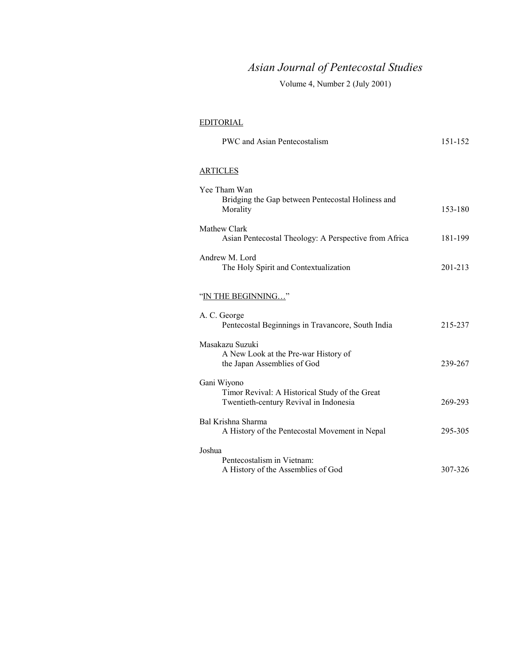# *Asian Journal of Pentecostal Studies*

Volume 4, Number 2 (July 2001)

## EDITORIAL

| PWC and Asian Pentecostalism                                                                            | 151-152     |
|---------------------------------------------------------------------------------------------------------|-------------|
| <b>ARTICLES</b>                                                                                         |             |
| Yee Tham Wan<br>Bridging the Gap between Pentecostal Holiness and<br>Morality                           | 153-180     |
| Mathew Clark<br>Asian Pentecostal Theology: A Perspective from Africa                                   | 181-199     |
| Andrew M. Lord<br>The Holy Spirit and Contextualization                                                 | $201 - 213$ |
| "IN THE BEGINNING"                                                                                      |             |
| A. C. George<br>Pentecostal Beginnings in Travancore, South India                                       | 215-237     |
| Masakazu Suzuki<br>A New Look at the Pre-war History of<br>the Japan Assemblies of God                  | 239-267     |
| Gani Wiyono<br>Timor Revival: A Historical Study of the Great<br>Twentieth-century Revival in Indonesia | 269-293     |
| Bal Krishna Sharma<br>A History of the Pentecostal Movement in Nepal                                    | 295-305     |
| Joshua<br>Pentecostalism in Vietnam:<br>A History of the Assemblies of God                              | 307-326     |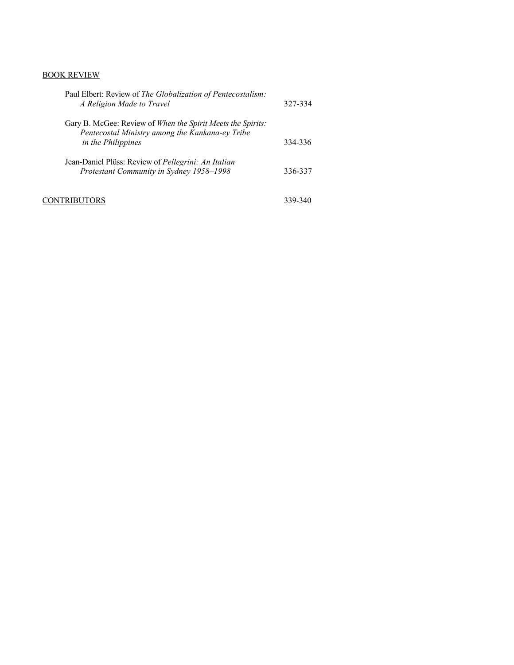## BOOK REVIEW

| Paul Elbert: Review of The Globalization of Pentecostalism:<br>A Religion Made to Travel                                             | 327-334 |
|--------------------------------------------------------------------------------------------------------------------------------------|---------|
| Gary B. McGee: Review of When the Spirit Meets the Spirits:<br>Pentecostal Ministry among the Kankana-ey Tribe<br>in the Philippines | 334-336 |
| Jean-Daniel Plüss: Review of <i>Pellegrini: An Italian</i><br>Protestant Community in Sydney 1958-1998                               | 336-337 |
| 'RIBUTORS                                                                                                                            | 339-340 |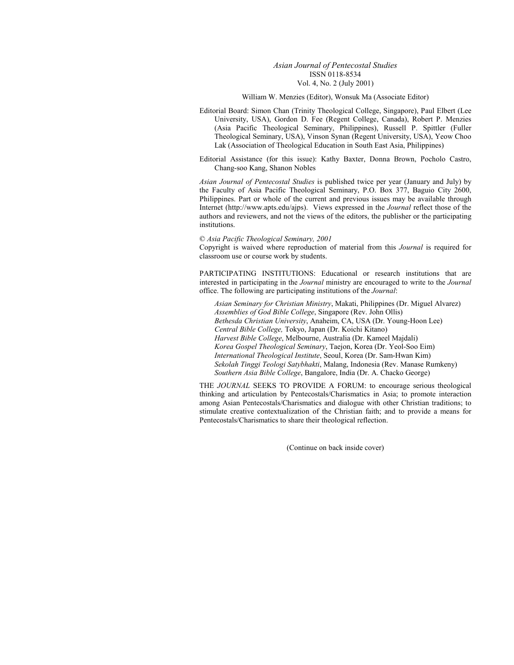#### *Asian Journal of Pentecostal Studies*  ISSN 0118-8534 Vol. 4, No. 2 (July 2001)

#### William W. Menzies (Editor), Wonsuk Ma (Associate Editor)

Editorial Board: Simon Chan (Trinity Theological College, Singapore), Paul Elbert (Lee University, USA), Gordon D. Fee (Regent College, Canada), Robert P. Menzies (Asia Pacific Theological Seminary, Philippines), Russell P. Spittler (Fuller Theological Seminary, USA), Vinson Synan (Regent University, USA), Yeow Choo Lak (Association of Theological Education in South East Asia, Philippines)

Editorial Assistance (for this issue): Kathy Baxter, Donna Brown, Pocholo Castro, Chang-soo Kang, Shanon Nobles

*Asian Journal of Pentecostal Studies* is published twice per year (January and July) by the Faculty of Asia Pacific Theological Seminary, P.O. Box 377, Baguio City 2600, Philippines. Part or whole of the current and previous issues may be available through Internet (http://www.apts.edu/ajps). Views expressed in the *Journal* reflect those of the authors and reviewers, and not the views of the editors, the publisher or the participating institutions.

#### © *Asia Pacific Theological Seminary, 2001*

Copyright is waived where reproduction of material from this *Journal* is required for classroom use or course work by students.

PARTICIPATING INSTITUTIONS: Educational or research institutions that are interested in participating in the *Journal* ministry are encouraged to write to the *Journal* office. The following are participating institutions of the *Journal*:

*Asian Seminary for Christian Ministry*, Makati, Philippines (Dr. Miguel Alvarez) *Assemblies of God Bible College*, Singapore (Rev. John Ollis) *Bethesda Christian University*, Anaheim, CA, USA (Dr. Young-Hoon Lee) *Central Bible College,* Tokyo, Japan (Dr. Koichi Kitano) *Harvest Bible College*, Melbourne, Australia (Dr. Kameel Majdali) *Korea Gospel Theological Seminary*, Taejon, Korea (Dr. Yeol-Soo Eim) *International Theological Institute*, Seoul, Korea (Dr. Sam-Hwan Kim) *Sekolah Tinggi Teologi Satybhakti*, Malang, Indonesia (Rev. Manase Rumkeny) *Southern Asia Bible College*, Bangalore, India (Dr. A. Chacko George)

THE *JOURNAL* SEEKS TO PROVIDE A FORUM: to encourage serious theological thinking and articulation by Pentecostals/Charismatics in Asia; to promote interaction among Asian Pentecostals/Charismatics and dialogue with other Christian traditions; to stimulate creative contextualization of the Christian faith; and to provide a means for Pentecostals/Charismatics to share their theological reflection.

(Continue on back inside cover)